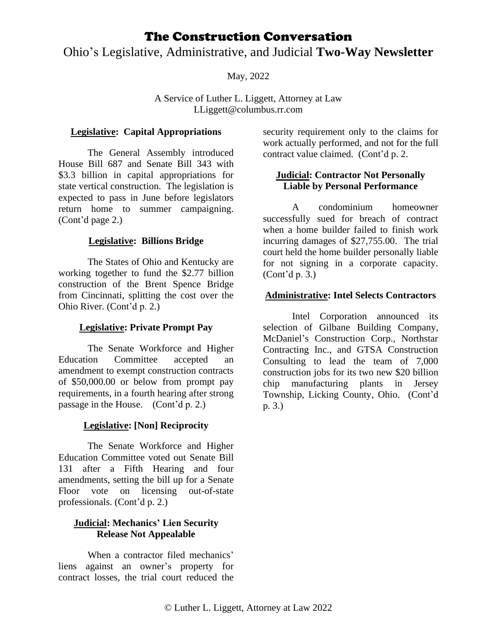## Ohio's Legislative, Administrative, and Judicial **Two-Way Newsletter**

May, 2022

A Service of Luther L. Liggett, Attorney at Law LLiggett@columbus.rr.com

### **Legislative: Capital Appropriations**

The General Assembly introduced House Bill 687 and Senate Bill 343 with \$3.3 billion in capital appropriations for state vertical construction. The legislation is expected to pass in June before legislators return home to summer campaigning. (Cont'd page 2.)

## **Legislative: Billions Bridge**

The States of Ohio and Kentucky are working together to fund the \$2.77 billion construction of the Brent Spence Bridge from Cincinnati, splitting the cost over the Ohio River. (Cont'd p. 2.)

## **Legislative: Private Prompt Pay**

The Senate Workforce and Higher Education Committee accepted an amendment to exempt construction contracts of \$50,000.00 or below from prompt pay requirements, in a fourth hearing after strong passage in the House. (Cont'd p. 2.)

## **Legislative: [Non] Reciprocity**

The Senate Workforce and Higher Education Committee voted out Senate Bill 131 after a Fifth Hearing and four amendments, setting the bill up for a Senate Floor vote on licensing out-of-state professionals. (Cont'd p. 2.)

#### **Judicial: Mechanics' Lien Security Release Not Appealable**

When a contractor filed mechanics' liens against an owner's property for contract losses, the trial court reduced the security requirement only to the claims for work actually performed, and not for the full contract value claimed. (Cont'd p. 2.

## **Judicial: Contractor Not Personally Liable by Personal Performance**

A condominium homeowner successfully sued for breach of contract when a home builder failed to finish work incurring damages of \$27,755.00. The trial court held the home builder personally liable for not signing in a corporate capacity. (Cont'd p. 3.)

#### **Administrative: Intel Selects Contractors**

Intel Corporation announced its selection of Gilbane Building Company, McDaniel's Construction Corp., Northstar Contracting Inc., and GTSA Construction Consulting to lead the team of 7,000 construction jobs for its two new \$20 billion chip manufacturing plants in Jersey Township, Licking County, Ohio. (Cont'd p. 3.)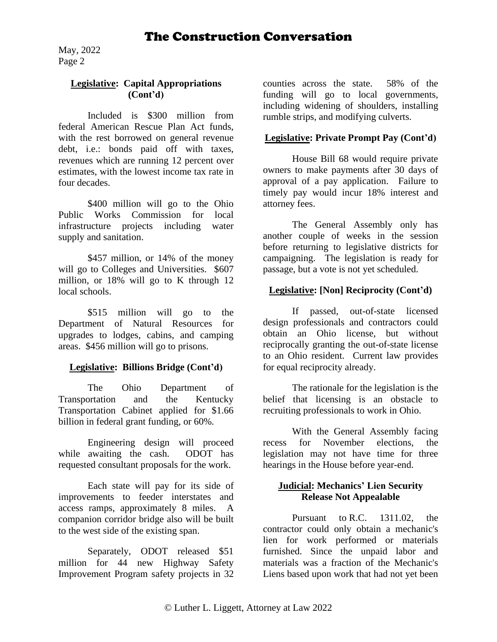May, 2022 Page 2

#### **Legislative: Capital Appropriations (Cont'd)**

Included is \$300 million from federal American Rescue Plan Act funds, with the rest borrowed on general revenue debt, i.e.: bonds paid off with taxes, revenues which are running 12 percent over estimates, with the lowest income tax rate in four decades.

\$400 million will go to the Ohio Public Works Commission for local infrastructure projects including water supply and sanitation.

\$457 million, or 14% of the money will go to Colleges and Universities.  $$607$ million, or 18% will go to K through 12 local schools.

\$515 million will go to the Department of Natural Resources for upgrades to lodges, cabins, and camping areas. \$456 million will go to prisons.

#### **Legislative: Billions Bridge (Cont'd)**

The Ohio Department of Transportation and the Kentucky Transportation Cabinet applied for \$1.66 billion in federal grant funding, or 60%.

Engineering design will proceed while awaiting the cash. ODOT has requested consultant proposals for the work.

Each state will pay for its side of improvements to feeder interstates and access ramps, approximately 8 miles. A companion corridor bridge also will be built to the west side of the existing span.

Separately, ODOT released \$51 million for 44 new Highway Safety Improvement Program safety projects in 32 counties across the state. 58% of the funding will go to local governments, including widening of shoulders, installing rumble strips, and modifying culverts.

#### **Legislative: Private Prompt Pay (Cont'd)**

House Bill 68 would require private owners to make payments after 30 days of approval of a pay application. Failure to timely pay would incur 18% interest and attorney fees.

The General Assembly only has another couple of weeks in the session before returning to legislative districts for campaigning. The legislation is ready for passage, but a vote is not yet scheduled.

#### **Legislative: [Non] Reciprocity (Cont'd)**

If passed, out-of-state licensed design professionals and contractors could obtain an Ohio license, but without reciprocally granting the out-of-state license to an Ohio resident. Current law provides for equal reciprocity already.

The rationale for the legislation is the belief that licensing is an obstacle to recruiting professionals to work in Ohio.

With the General Assembly facing recess for November elections, the legislation may not have time for three hearings in the House before year-end.

## **Judicial: Mechanics' Lien Security Release Not Appealable**

Pursuant to [R.C. 1311.02,](https://app.decisis.com/decisis?crid=0d3403e2-3ab2-442b-a663-2a860c9e31ee) the contractor could only obtain a mechanic's lien for work performed or materials furnished. Since the unpaid labor and materials was a fraction of the Mechanic's Liens based upon work that had not yet been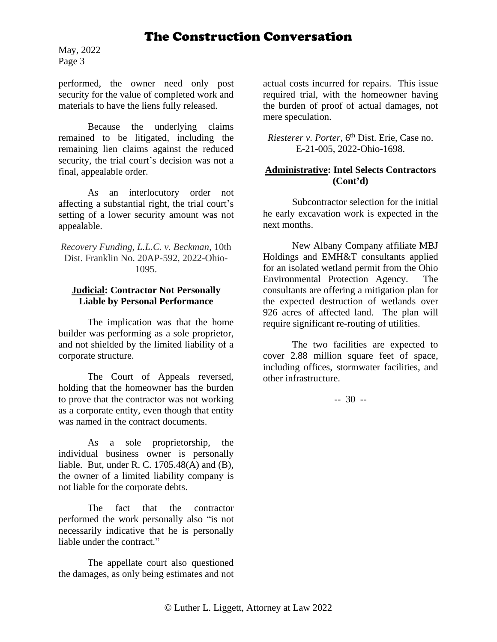May, 2022 Page 3

performed, the owner need only post security for the value of completed work and materials to have the liens fully released.

Because the underlying claims remained to be litigated, including the remaining lien claims against the reduced security, the trial court's decision was not a final, appealable order.

As an interlocutory order not affecting a substantial right, the trial court's setting of a lower security amount was not appealable.

*Recovery Funding, L.L.C. v. Beckman*, 10th Dist. Franklin No. 20AP-592, 2022-Ohio-1095.

#### **Judicial: Contractor Not Personally Liable by Personal Performance**

The implication was that the home builder was performing as a sole proprietor, and not shielded by the limited liability of a corporate structure.

The Court of Appeals reversed, holding that the homeowner has the burden to prove that the contractor was not working as a corporate entity, even though that entity was named in the contract documents.

As a sole proprietorship, the individual business owner is personally liable. But, under R. C. 1705.48(A) and (B), the owner of a limited liability company is not liable for the corporate debts.

The fact that the contractor performed the work personally also "is not necessarily indicative that he is personally liable under the contract."

The appellate court also questioned the damages, as only being estimates and not

actual costs incurred for repairs. This issue required trial, with the homeowner having the burden of proof of actual damages, not mere speculation.

*Riesterer v. Porter*,  $6<sup>th</sup> Dist.$  *Erie*, Case no. E-21-005, 2022-Ohio-1698.

#### **Administrative: Intel Selects Contractors (Cont'd)**

Subcontractor selection for the initial he early excavation work is expected in the next months.

New Albany Company affiliate MBJ Holdings and EMH&T consultants applied for an isolated wetland permit from the Ohio Environmental Protection Agency. The consultants are offering a mitigation plan for the expected destruction of wetlands over 926 acres of affected land. The plan will require significant re-routing of utilities.

The two facilities are expected to cover 2.88 million square feet of space, including offices, stormwater facilities, and other infrastructure.

-- 30 --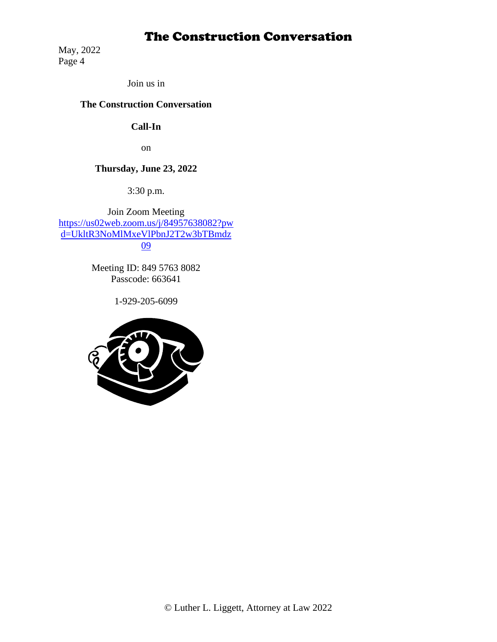May, 2022 Page 4

Join us in

## **The Construction Conversation**

## **Call-In**

on

## **Thursday, June 23, 2022**

3:30 p.m.

Join Zoom Meeting [https://us02web.zoom.us/j/84957638082?pw](https://us02web.zoom.us/j/84957638082?pwd=UkltR3NoMlMxeVlPbnJ2T2w3bTBmdz09) [d=UkltR3NoMlMxeVlPbnJ2T2w3bTBmdz](https://us02web.zoom.us/j/84957638082?pwd=UkltR3NoMlMxeVlPbnJ2T2w3bTBmdz09) [09](https://us02web.zoom.us/j/84957638082?pwd=UkltR3NoMlMxeVlPbnJ2T2w3bTBmdz09)

> Meeting ID: 849 5763 8082 Passcode: 663641

> > 1-929-205-6099